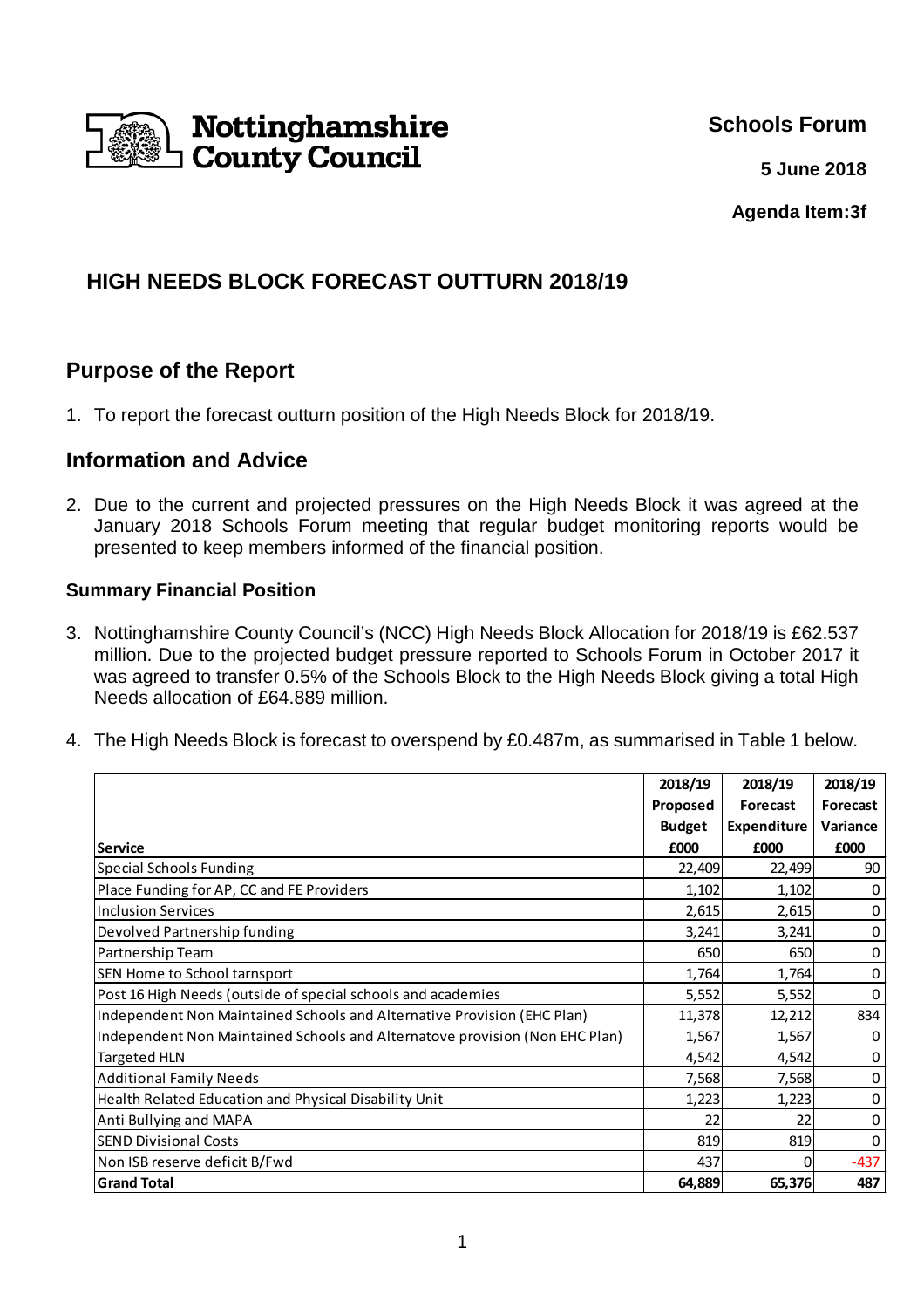

**Schools Forum**

**5 June 2018**

**Agenda Item:3f**

# **HIGH NEEDS BLOCK FORECAST OUTTURN 2018/19**

# **Purpose of the Report**

1. To report the forecast outturn position of the High Needs Block for 2018/19.

## **Information and Advice**

2. Due to the current and projected pressures on the High Needs Block it was agreed at the January 2018 Schools Forum meeting that regular budget monitoring reports would be presented to keep members informed of the financial position.

### **Summary Financial Position**

- 3. Nottinghamshire County Council's (NCC) High Needs Block Allocation for 2018/19 is £62.537 million. Due to the projected budget pressure reported to Schools Forum in October 2017 it was agreed to transfer 0.5% of the Schools Block to the High Needs Block giving a total High Needs allocation of £64.889 million.
- 4. The High Needs Block is forecast to overspend by £0.487m, as summarised in Table 1 below.

|                                                                             | 2018/19       | 2018/19     | 2018/19  |
|-----------------------------------------------------------------------------|---------------|-------------|----------|
|                                                                             | Proposed      | Forecast    | Forecast |
|                                                                             | <b>Budget</b> | Expenditure | Variance |
| Service                                                                     | £000          | £000        | £000     |
| Special Schools Funding                                                     | 22,409        | 22,499      | 90       |
| Place Funding for AP, CC and FE Providers                                   | 1,102         | 1,102       | 0        |
| Inclusion Services                                                          | 2,615         | 2,615       | 0        |
| Devolved Partnership funding                                                | 3,241         | 3,241       | 0        |
| Partnership Team                                                            | 650           | 650         | 0        |
| SEN Home to School tarnsport                                                | 1,764         | 1,764       | 0        |
| Post 16 High Needs (outside of special schools and academies                | 5,552         | 5,552       | 0        |
| Independent Non Maintained Schools and Alternative Provision (EHC Plan)     | 11,378        | 12,212      | 834      |
| Independent Non Maintained Schools and Alternatove provision (Non EHC Plan) | 1,567         | 1,567       | 0        |
| Targeted HLN                                                                | 4,542         | 4,542       | 0        |
| <b>Additional Family Needs</b>                                              | 7,568         | 7,568       | 0        |
| Health Related Education and Physical Disability Unit                       | 1,223         | 1,223       | 0        |
| Anti Bullying and MAPA                                                      | 22            | 22          | 0        |
| <b>SEND Divisional Costs</b>                                                | 819           | 819         |          |
| Non ISB reserve deficit B/Fwd                                               | 437           | 0           | $-437$   |
| <b>Grand Total</b>                                                          | 64,889        | 65,376      | 487      |